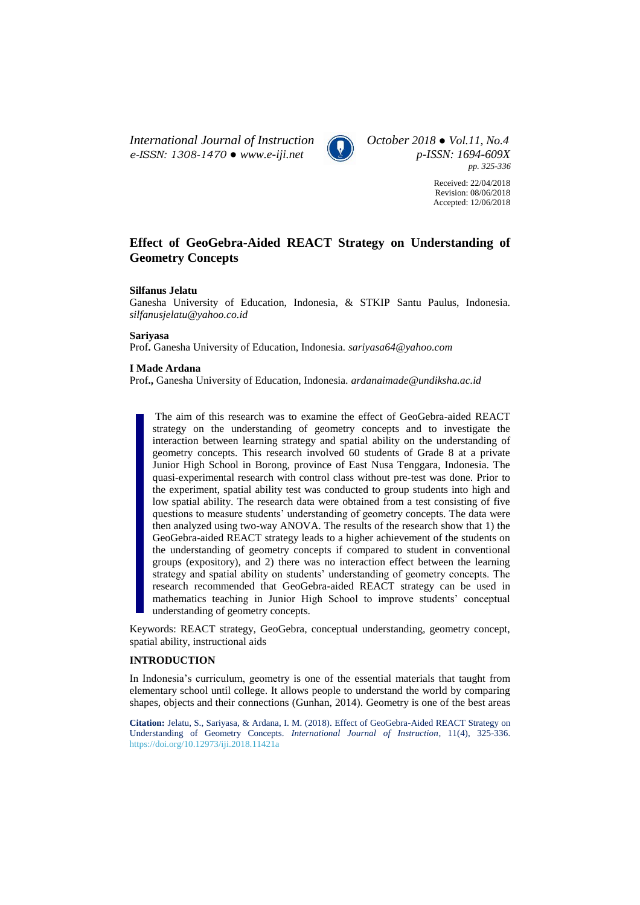*International Journal of Instruction <br>
e-ISSN: 1308-1470 • www.e-iji.net* <br> *P October* 2018 • *Vol.11, No.4*<br> *p-ISSN: 1694-609X*  $e$ -*ISSN: 1308-1470* ● *www.e-iji.net* 



*pp. 325-336*

Received: 22/04/2018 Revision: 08/06/2018 Accepted: 12/06/2018

# **Effect of GeoGebra***-***Aided REACT Strategy on Understanding of Geometry Concepts**

## **Silfanus Jelatu**

Ganesha University of Education, Indonesia, & STKIP Santu Paulus, Indonesia. *[silfanusjelatu@yahoo.co.id](mailto:silfanusjelatu@yahoo.co.id1)*

**Sariyasa**

Prof**.** Ganesha University of Education, Indonesia*. [sariyasa64@yahoo.com](mailto:sariyasa64@yahoo.com)*

### **I Made Ardana**

Prof**.,** Ganesha University of Education, Indonesia*. [ardanaimade@undiksha.ac.id](mailto:ardanaimade@undiksha.ac.id)*

The aim of this research was to examine the effect of GeoGebra-aided REACT strategy on the understanding of geometry concepts and to investigate the interaction between learning strategy and spatial ability on the understanding of geometry concepts. This research involved 60 students of Grade 8 at a private Junior High School in Borong, province of East Nusa Tenggara, Indonesia. The quasi-experimental research with control class without pre-test was done. Prior to the experiment, spatial ability test was conducted to group students into high and low spatial ability. The research data were obtained from a test consisting of five questions to measure students' understanding of geometry concepts. The data were then analyzed using two-way ANOVA. The results of the research show that 1) the GeoGebra-aided REACT strategy leads to a higher achievement of the students on the understanding of geometry concepts if compared to student in conventional groups (expository), and 2) there was no interaction effect between the learning strategy and spatial ability on students' understanding of geometry concepts. The research recommended that GeoGebra-aided REACT strategy can be used in mathematics teaching in Junior High School to improve students' conceptual understanding of geometry concepts.

Keywords: REACT strategy, GeoGebra, conceptual understanding, geometry concept, spatial ability, instructional aids

# **INTRODUCTION**

In Indonesia's curriculum, geometry is one of the essential materials that taught from elementary school until college. It allows people to understand the world by comparing shapes, objects and their connections (Gunhan, 2014). Geometry is one of the best areas

**Citation:** Jelatu, S., Sariyasa, & Ardana, I. M. (2018). Effect of GeoGebra-Aided REACT Strategy on Understanding of Geometry Concepts. *International Journal of Instruction*, 11(4), 325-336. <https://doi.org/10.12973/iji.2018.11421a>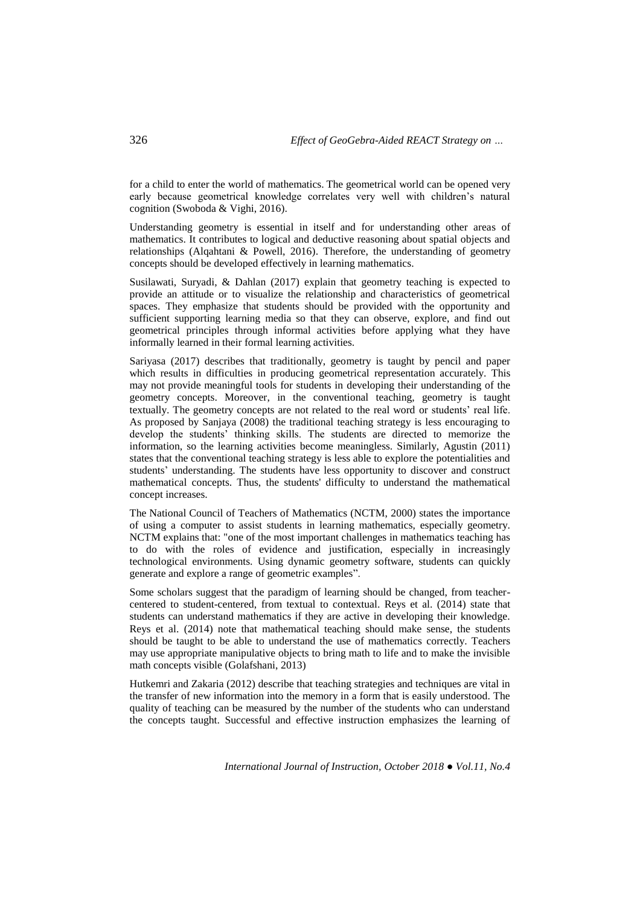for a child to enter the world of mathematics. The geometrical world can be opened very early because geometrical knowledge correlates very well with children's natural cognition (Swoboda & Vighi, 2016).

Understanding geometry is essential in itself and for understanding other areas of mathematics. It contributes to logical and deductive reasoning about spatial objects and relationships (Alqahtani & Powell, 2016). Therefore, the understanding of geometry concepts should be developed effectively in learning mathematics.

Susilawati, Suryadi, & Dahlan (2017) explain that geometry teaching is expected to provide an attitude or to visualize the relationship and characteristics of geometrical spaces. They emphasize that students should be provided with the opportunity and sufficient supporting learning media so that they can observe, explore, and find out geometrical principles through informal activities before applying what they have informally learned in their formal learning activities.

Sariyasa (2017) describes that traditionally, geometry is taught by pencil and paper which results in difficulties in producing geometrical representation accurately. This may not provide meaningful tools for students in developing their understanding of the geometry concepts. Moreover, in the conventional teaching, geometry is taught textually. The geometry concepts are not related to the real word or students' real life. As proposed by Sanjaya (2008) the traditional teaching strategy is less encouraging to develop the students' thinking skills. The students are directed to memorize the information, so the learning activities become meaningless. Similarly, Agustin (2011) states that the conventional teaching strategy is less able to explore the potentialities and students' understanding. The students have less opportunity to discover and construct mathematical concepts. Thus, the students' difficulty to understand the mathematical concept increases.

The National Council of Teachers of Mathematics (NCTM, 2000) states the importance of using a computer to assist students in learning mathematics, especially geometry. NCTM explains that: "one of the most important challenges in mathematics teaching has to do with the roles of evidence and justification, especially in increasingly technological environments. Using dynamic geometry software, students can quickly generate and explore a range of geometric examples".

Some scholars suggest that the paradigm of learning should be changed, from teachercentered to student-centered, from textual to contextual. Reys et al. (2014) state that students can understand mathematics if they are active in developing their knowledge. Reys et al. (2014) note that mathematical teaching should make sense, the students should be taught to be able to understand the use of mathematics correctly. Teachers may use appropriate manipulative objects to bring math to life and to make the invisible math concepts visible (Golafshani, 2013)

Hutkemri and Zakaria (2012) describe that teaching strategies and techniques are vital in the transfer of new information into the memory in a form that is easily understood. The quality of teaching can be measured by the number of the students who can understand the concepts taught. Successful and effective instruction emphasizes the learning of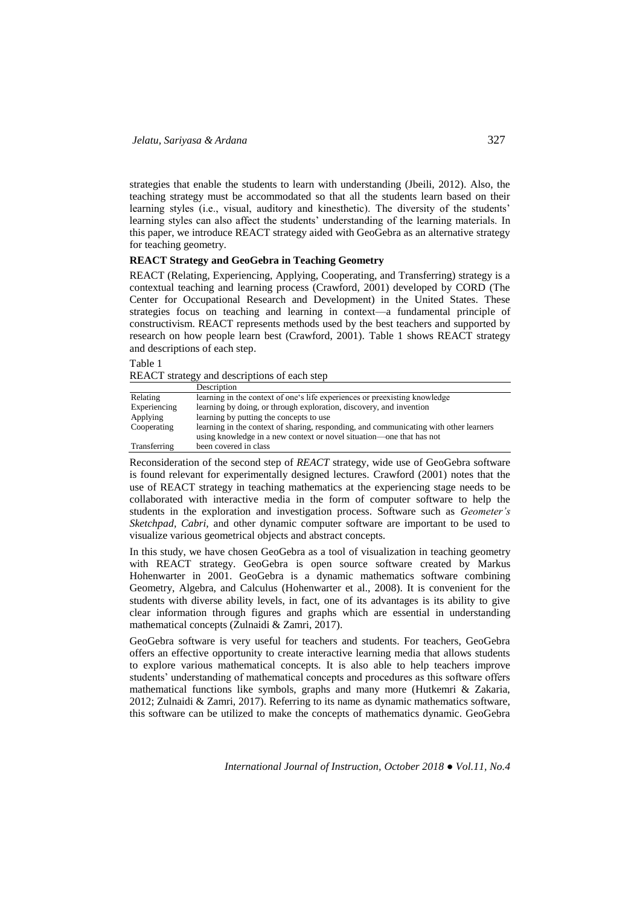strategies that enable the students to learn with understanding (Jbeili, 2012). Also, the teaching strategy must be accommodated so that all the students learn based on their learning styles (i.e., visual, auditory and kinesthetic). The diversity of the students' learning styles can also affect the students' understanding of the learning materials. In this paper, we introduce REACT strategy aided with GeoGebra as an alternative strategy for teaching geometry.

## **REACT Strategy and GeoGebra in Teaching Geometry**

REACT (Relating, Experiencing, Applying, Cooperating, and Transferring) strategy is a contextual teaching and learning process (Crawford, 2001) developed by CORD (The Center for Occupational Research and Development) in the United States. These strategies focus on teaching and learning in context—a fundamental principle of constructivism. REACT represents methods used by the best teachers and supported by research on how people learn best (Crawford, 2001). Table 1 shows REACT strategy and descriptions of each step.

Table 1

REACT strategy and descriptions of each step

|              | Description                                                                           |
|--------------|---------------------------------------------------------------------------------------|
| Relating     | learning in the context of one's life experiences or preexisting knowledge            |
| Experiencing | learning by doing, or through exploration, discovery, and invention                   |
| Applying     | learning by putting the concepts to use                                               |
| Cooperating  | learning in the context of sharing, responding, and communicating with other learners |
|              | using knowledge in a new context or novel situation—one that has not                  |
| Transferring | been covered in class                                                                 |

Reconsideration of the second step of *REACT* strategy, wide use of GeoGebra software is found relevant for experimentally designed lectures. Crawford (2001) notes that the use of REACT strategy in teaching mathematics at the experiencing stage needs to be collaborated with interactive media in the form of computer software to help the students in the exploration and investigation process. Software such as *Geometer's Sketchpad, Cabri,* and other dynamic computer software are important to be used to visualize various geometrical objects and abstract concepts.

In this study, we have chosen GeoGebra as a tool of visualization in teaching geometry with REACT strategy. GeoGebra is open source software created by Markus Hohenwarter in 2001. GeoGebra is a dynamic mathematics software combining Geometry, Algebra, and Calculus (Hohenwarter et al., 2008). It is convenient for the students with diverse ability levels, in fact, one of its advantages is its ability to give clear information through figures and graphs which are essential in understanding mathematical concepts (Zulnaidi & Zamri, 2017).

GeoGebra software is very useful for teachers and students. For teachers, GeoGebra offers an effective opportunity to create interactive learning media that allows students to explore various mathematical concepts. It is also able to help teachers improve students' understanding of mathematical concepts and procedures as this software offers mathematical functions like symbols, graphs and many more (Hutkemri & Zakaria, 2012; Zulnaidi & Zamri, 2017). Referring to its name as dynamic mathematics software, this software can be utilized to make the concepts of mathematics dynamic. GeoGebra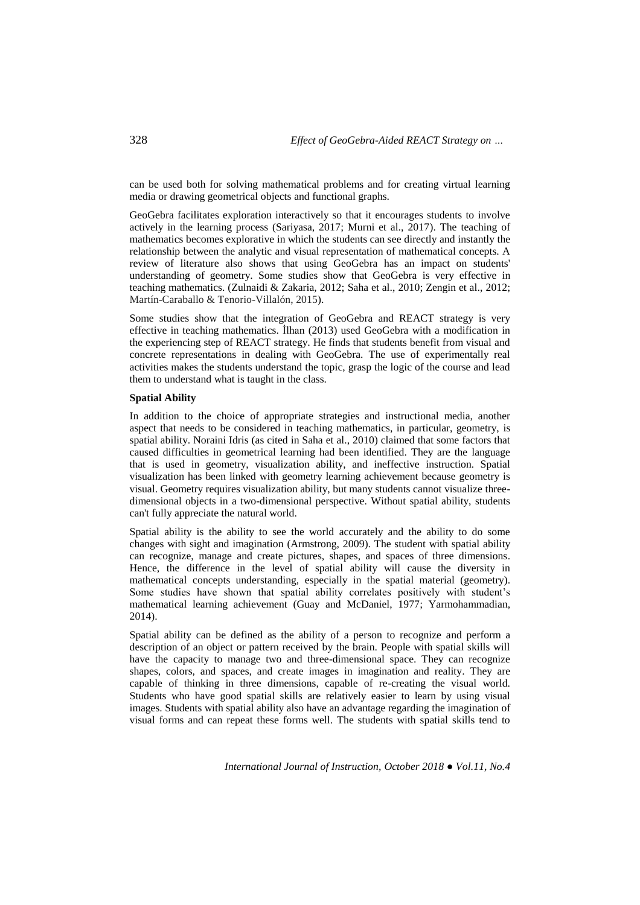can be used both for solving mathematical problems and for creating virtual learning media or drawing geometrical objects and functional graphs.

GeoGebra facilitates exploration interactively so that it encourages students to involve actively in the learning process (Sariyasa, 2017; Murni et al., 2017). The teaching of mathematics becomes explorative in which the students can see directly and instantly the relationship between the analytic and visual representation of mathematical concepts. A review of literature also shows that using GeoGebra has an impact on students' understanding of geometry. Some studies show that GeoGebra is very effective in teaching mathematics. (Zulnaidi & Zakaria, 2012; Saha et al., 2010; Zengin et al., 2012; Martín-Caraballo & Tenorio-Villalón, 2015).

Some studies show that the integration of GeoGebra and REACT strategy is very effective in teaching mathematics. İlhan (2013) used GeoGebra with a modification in the experiencing step of REACT strategy. He finds that students benefit from visual and concrete representations in dealing with GeoGebra. The use of experimentally real activities makes the students understand the topic, grasp the logic of the course and lead them to understand what is taught in the class.

## **Spatial Ability**

In addition to the choice of appropriate strategies and instructional media, another aspect that needs to be considered in teaching mathematics, in particular, geometry, is spatial ability. Noraini Idris (as cited in Saha et al., 2010) claimed that some factors that caused difficulties in geometrical learning had been identified. They are the language that is used in geometry, visualization ability, and ineffective instruction. Spatial visualization has been linked with geometry learning achievement because geometry is visual. Geometry requires visualization ability, but many students cannot visualize threedimensional objects in a two-dimensional perspective. Without spatial ability, students can't fully appreciate the natural world.

Spatial ability is the ability to see the world accurately and the ability to do some changes with sight and imagination (Armstrong, 2009). The student with spatial ability can recognize, manage and create pictures, shapes, and spaces of three dimensions. Hence, the difference in the level of spatial ability will cause the diversity in mathematical concepts understanding, especially in the spatial material (geometry). Some studies have shown that spatial ability correlates positively with student's mathematical learning achievement (Guay and McDaniel, 1977; Yarmohammadian, 2014).

Spatial ability can be defined as the ability of a person to recognize and perform a description of an object or pattern received by the brain. People with spatial skills will have the capacity to manage two and three-dimensional space. They can recognize shapes, colors, and spaces, and create images in imagination and reality. They are capable of thinking in three dimensions, capable of re-creating the visual world. Students who have good spatial skills are relatively easier to learn by using visual images. Students with spatial ability also have an advantage regarding the imagination of visual forms and can repeat these forms well. The students with spatial skills tend to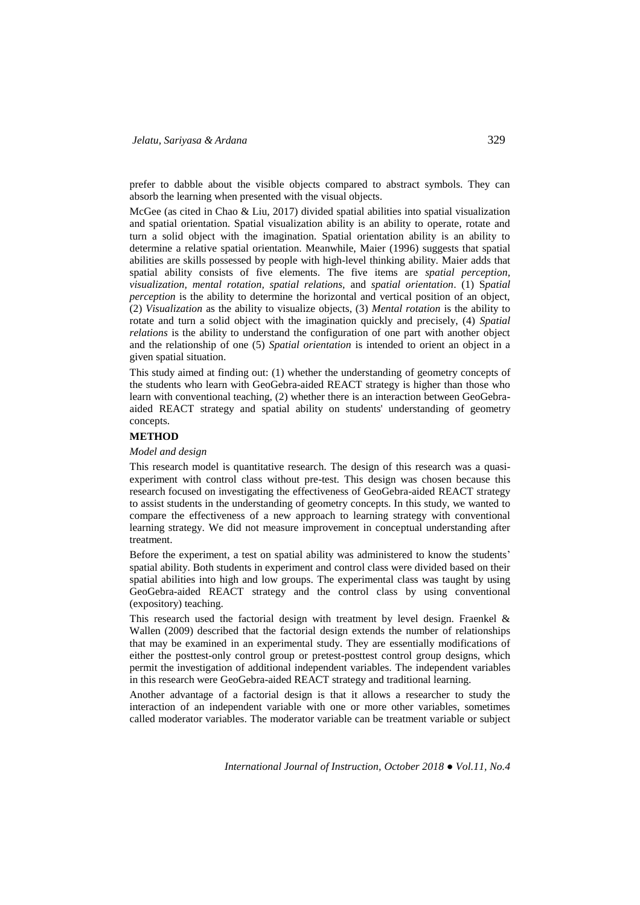prefer to dabble about the visible objects compared to abstract symbols. They can absorb the learning when presented with the visual objects.

McGee (as cited in Chao & Liu, 2017) divided spatial abilities into spatial visualization and spatial orientation. Spatial visualization ability is an ability to operate, rotate and turn a solid object with the imagination. Spatial orientation ability is an ability to determine a relative spatial orientation. Meanwhile, Maier (1996) suggests that spatial abilities are skills possessed by people with high-level thinking ability. Maier adds that spatial ability consists of five elements. The five items are *spatial perception, visualization, mental rotation, spatial relations,* and *spatial orientation*. (1) S*patial perception* is the ability to determine the horizontal and vertical position of an object, (2) *Visualization* as the ability to visualize objects, (3) *Mental rotation* is the ability to rotate and turn a solid object with the imagination quickly and precisely, (4) *Spatial relations* is the ability to understand the configuration of one part with another object and the relationship of one (5) *Spatial orientation* is intended to orient an object in a given spatial situation.

This study aimed at finding out: (1) whether the understanding of geometry concepts of the students who learn with GeoGebra-aided REACT strategy is higher than those who learn with conventional teaching, (2) whether there is an interaction between GeoGebraaided REACT strategy and spatial ability on students' understanding of geometry concepts.

#### **METHOD**

#### *Model and design*

This research model is quantitative research. The design of this research was a quasiexperiment with control class without pre-test. This design was chosen because this research focused on investigating the effectiveness of GeoGebra-aided REACT strategy to assist students in the understanding of geometry concepts. In this study, we wanted to compare the effectiveness of a new approach to learning strategy with conventional learning strategy. We did not measure improvement in conceptual understanding after treatment.

Before the experiment, a test on spatial ability was administered to know the students' spatial ability. Both students in experiment and control class were divided based on their spatial abilities into high and low groups. The experimental class was taught by using GeoGebra-aided REACT strategy and the control class by using conventional (expository) teaching.

This research used the factorial design with treatment by level design. Fraenkel  $\&$ Wallen (2009) described that the factorial design extends the number of relationships that may be examined in an experimental study. They are essentially modifications of either the posttest-only control group or pretest-posttest control group designs, which permit the investigation of additional independent variables. The independent variables in this research were GeoGebra-aided REACT strategy and traditional learning.

Another advantage of a factorial design is that it allows a researcher to study the interaction of an independent variable with one or more other variables, sometimes called moderator variables. The moderator variable can be treatment variable or subject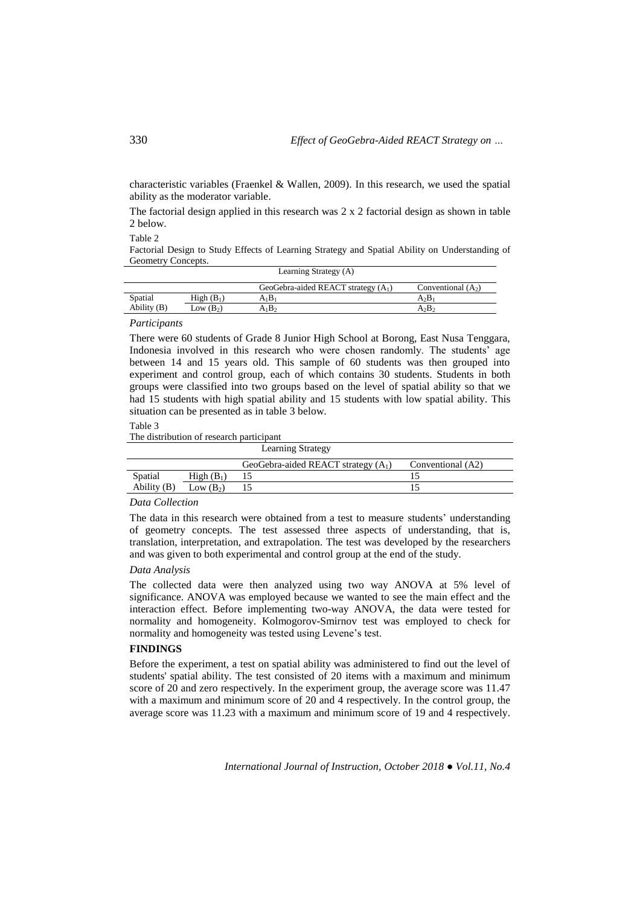characteristic variables (Fraenkel & Wallen, 2009). In this research, we used the spatial ability as the moderator variable.

The factorial design applied in this research was 2 x 2 factorial design as shown in table 2 below.

Table 2

Factorial Design to Study Effects of Learning Strategy and Spatial Ability on Understanding of Geometry Concepts.

| Learning Strategy (A) |              |                                       |                      |  |  |
|-----------------------|--------------|---------------------------------------|----------------------|--|--|
|                       |              | GeoGebra-aided REACT strategy $(A_1)$ | Conventional $(A_2)$ |  |  |
| Spatial               | High $(B_1)$ | $A_1B_1$                              | $A_2B_1$             |  |  |
| Ability (B)           | Low $(B_2)$  | $A_1B_2$                              | A2B2                 |  |  |

# *Participants*

There were 60 students of Grade 8 Junior High School at Borong, East Nusa Tenggara, Indonesia involved in this research who were chosen randomly. The students' age between 14 and 15 years old. This sample of 60 students was then grouped into experiment and control group, each of which contains 30 students. Students in both groups were classified into two groups based on the level of spatial ability so that we had 15 students with high spatial ability and 15 students with low spatial ability. This situation can be presented as in table 3 below.

### Table 3

The distribution of research participant

| <b>Learning Strategy</b> |              |                                       |                   |  |
|--------------------------|--------------|---------------------------------------|-------------------|--|
|                          |              | GeoGebra-aided REACT strategy $(A_1)$ | Conventional (A2) |  |
| Spatial                  | High $(B_1)$ |                                       |                   |  |
| Ability $(B)$            | Low $(B_2)$  |                                       |                   |  |

#### *Data Collection*

The data in this research were obtained from a test to measure students' understanding of geometry concepts. The test assessed three aspects of understanding, that is, translation, interpretation, and extrapolation. The test was developed by the researchers and was given to both experimental and control group at the end of the study.

## *Data Analysis*

The collected data were then analyzed using two way ANOVA at 5% level of significance. ANOVA was employed because we wanted to see the main effect and the interaction effect. Before implementing two-way ANOVA, the data were tested for normality and homogeneity. Kolmogorov-Smirnov test was employed to check for normality and homogeneity was tested using Levene's test.

### **FINDINGS**

Before the experiment, a test on spatial ability was administered to find out the level of students' spatial ability. The test consisted of 20 items with a maximum and minimum score of 20 and zero respectively. In the experiment group, the average score was 11.47 with a maximum and minimum score of 20 and 4 respectively. In the control group, the average score was 11.23 with a maximum and minimum score of 19 and 4 respectively.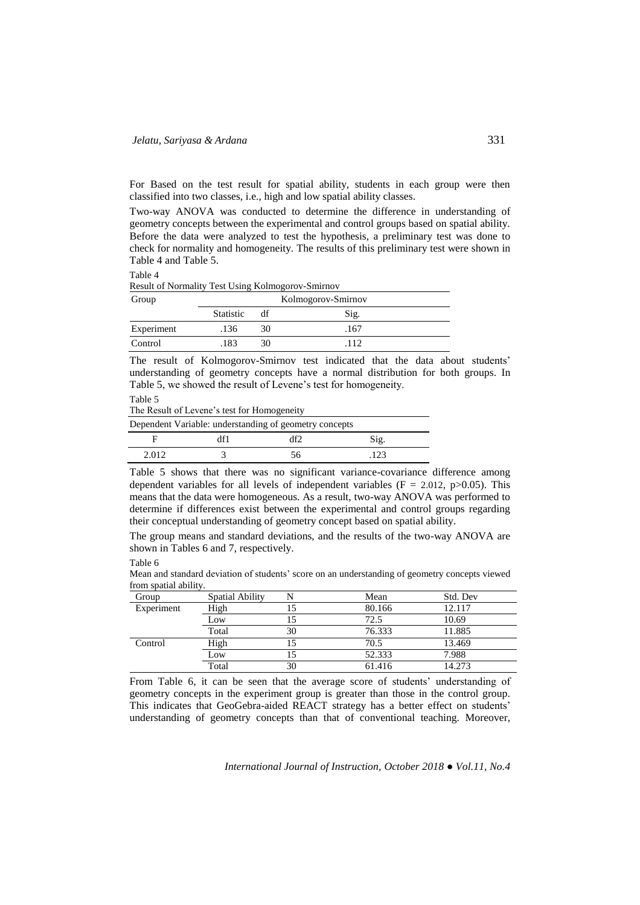For Based on the test result for spatial ability, students in each group were then classified into two classes, i.e., high and low spatial ability classes.

Two-way ANOVA was conducted to determine the difference in understanding of geometry concepts between the experimental and control groups based on spatial ability. Before the data were analyzed to test the hypothesis, a preliminary test was done to check for normality and homogeneity. The results of this preliminary test were shown in Table 4 and Table 5.

Table 4

Result of Normality Test Using Kolmogorov-Smirnov

| Group      | Kolmogorov-Smirnov |    |      |  |
|------------|--------------------|----|------|--|
|            | <b>Statistic</b>   | df | Sig. |  |
| Experiment | .136               | 30 | 167  |  |
| Control    | 183                | 30 | 112  |  |

The result of Kolmogorov-Smirnov test indicated that the data about students' understanding of geometry concepts have a normal distribution for both groups. In Table 5, we showed the result of Levene's test for homogeneity.

Table 5

The Result of Levene's test for Homogeneity

| Dependent Variable: understanding of geometry concepts |     |      |
|--------------------------------------------------------|-----|------|
|                                                        | df2 | Sig. |
| 2.012                                                  | 56  | .123 |

Table 5 shows that there was no significant variance-covariance difference among dependent variables for all levels of independent variables ( $F = 2.012$ , p $> 0.05$ ). This means that the data were homogeneous. As a result, two-way ANOVA was performed to determine if differences exist between the experimental and control groups regarding their conceptual understanding of geometry concept based on spatial ability.

The group means and standard deviations, and the results of the two-way ANOVA are shown in Tables 6 and 7, respectively.

Table 6

Mean and standard deviation of students' score on an understanding of geometry concepts viewed from spatial ability.

| Group      | <b>Spatial Ability</b> |    | Mean   | Std. Dev |
|------------|------------------------|----|--------|----------|
| Experiment | High                   |    | 80.166 | 12.117   |
|            | Low                    |    | 72.5   | 10.69    |
|            | Total                  | 30 | 76.333 | 11.885   |
| Control    | High                   |    | 70.5   | 13.469   |
|            | Low                    |    | 52.333 | 7.988    |
|            | Total                  | 30 | 61.416 | 14.273   |

From Table 6, it can be seen that the average score of students' understanding of geometry concepts in the experiment group is greater than those in the control group. This indicates that GeoGebra-aided REACT strategy has a better effect on students' understanding of geometry concepts than that of conventional teaching. Moreover,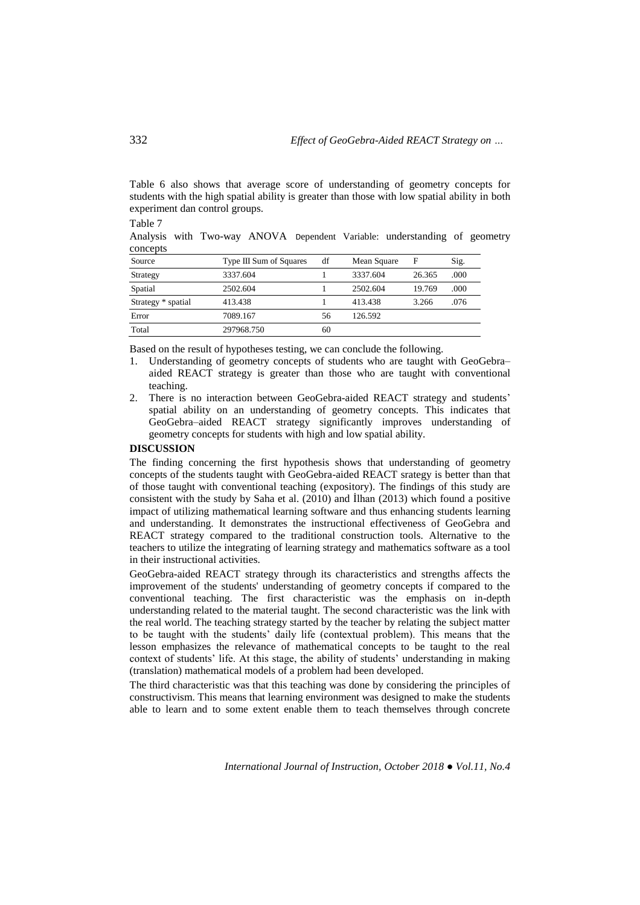Table 6 also shows that average score of understanding of geometry concepts for students with the high spatial ability is greater than those with low spatial ability in both experiment dan control groups.

Table 7

Analysis with Two-way ANOVA Dependent Variable: understanding of geometry concepts

| Source             | Type III Sum of Squares | df | Mean Square | F      | Sig. |
|--------------------|-------------------------|----|-------------|--------|------|
| Strategy           | 3337.604                |    | 3337.604    | 26.365 | .000 |
| Spatial            | 2502.604                |    | 2502.604    | 19.769 | .000 |
| Strategy * spatial | 413.438                 |    | 413.438     | 3.266  | .076 |
| Error              | 7089.167                | 56 | 126.592     |        |      |
| Total              | 297968.750              | 60 |             |        |      |

Based on the result of hypotheses testing, we can conclude the following.

- 1. Understanding of geometry concepts of students who are taught with GeoGebra– aided REACT strategy is greater than those who are taught with conventional teaching.
- 2. There is no interaction between GeoGebra-aided REACT strategy and students' spatial ability on an understanding of geometry concepts. This indicates that GeoGebra–aided REACT strategy significantly improves understanding of geometry concepts for students with high and low spatial ability.

## **DISCUSSION**

The finding concerning the first hypothesis shows that understanding of geometry concepts of the students taught with GeoGebra-aided REACT srategy is better than that of those taught with conventional teaching (expository). The findings of this study are consistent with the study by Saha et al. (2010) and İlhan (2013) which found a positive impact of utilizing mathematical learning software and thus enhancing students learning and understanding. It demonstrates the instructional effectiveness of GeoGebra and REACT strategy compared to the traditional construction tools. Alternative to the teachers to utilize the integrating of learning strategy and mathematics software as a tool in their instructional activities.

GeoGebra-aided REACT strategy through its characteristics and strengths affects the improvement of the students' understanding of geometry concepts if compared to the conventional teaching. The first characteristic was the emphasis on in-depth understanding related to the material taught. The second characteristic was the link with the real world. The teaching strategy started by the teacher by relating the subject matter to be taught with the students' daily life (contextual problem). This means that the lesson emphasizes the relevance of mathematical concepts to be taught to the real context of students' life. At this stage, the ability of students' understanding in making (translation) mathematical models of a problem had been developed.

The third characteristic was that this teaching was done by considering the principles of constructivism. This means that learning environment was designed to make the students able to learn and to some extent enable them to teach themselves through concrete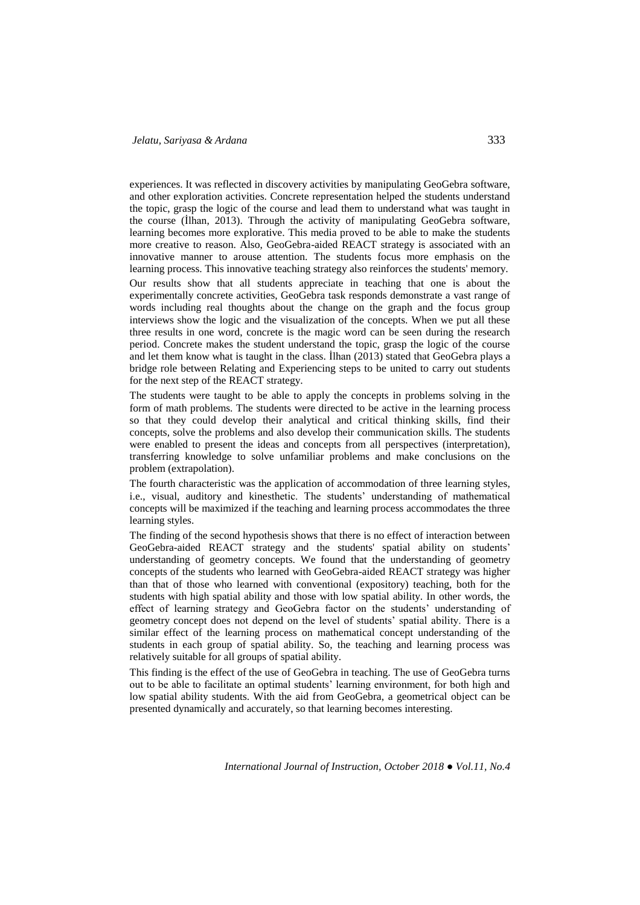experiences. It was reflected in discovery activities by manipulating GeoGebra software, and other exploration activities. Concrete representation helped the students understand the topic, grasp the logic of the course and lead them to understand what was taught in the course (İlhan, 2013). Through the activity of manipulating GeoGebra software, learning becomes more explorative. This media proved to be able to make the students more creative to reason. Also, GeoGebra-aided REACT strategy is associated with an innovative manner to arouse attention. The students focus more emphasis on the learning process. This innovative teaching strategy also reinforces the students' memory.

Our results show that all students appreciate in teaching that one is about the experimentally concrete activities, GeoGebra task responds demonstrate a vast range of words including real thoughts about the change on the graph and the focus group interviews show the logic and the visualization of the concepts. When we put all these three results in one word, concrete is the magic word can be seen during the research period. Concrete makes the student understand the topic, grasp the logic of the course and let them know what is taught in the class. İlhan (2013) stated that GeoGebra plays a bridge role between Relating and Experiencing steps to be united to carry out students for the next step of the REACT strategy.

The students were taught to be able to apply the concepts in problems solving in the form of math problems. The students were directed to be active in the learning process so that they could develop their analytical and critical thinking skills, find their concepts, solve the problems and also develop their communication skills. The students were enabled to present the ideas and concepts from all perspectives (interpretation), transferring knowledge to solve unfamiliar problems and make conclusions on the problem (extrapolation).

The fourth characteristic was the application of accommodation of three learning styles, i.e., visual, auditory and kinesthetic. The students' understanding of mathematical concepts will be maximized if the teaching and learning process accommodates the three learning styles.

The finding of the second hypothesis shows that there is no effect of interaction between GeoGebra-aided REACT strategy and the students' spatial ability on students' understanding of geometry concepts. We found that the understanding of geometry concepts of the students who learned with GeoGebra-aided REACT strategy was higher than that of those who learned with conventional (expository) teaching, both for the students with high spatial ability and those with low spatial ability. In other words, the effect of learning strategy and GeoGebra factor on the students' understanding of geometry concept does not depend on the level of students' spatial ability. There is a similar effect of the learning process on mathematical concept understanding of the students in each group of spatial ability. So, the teaching and learning process was relatively suitable for all groups of spatial ability.

This finding is the effect of the use of GeoGebra in teaching. The use of GeoGebra turns out to be able to facilitate an optimal students' learning environment, for both high and low spatial ability students. With the aid from GeoGebra, a geometrical object can be presented dynamically and accurately, so that learning becomes interesting.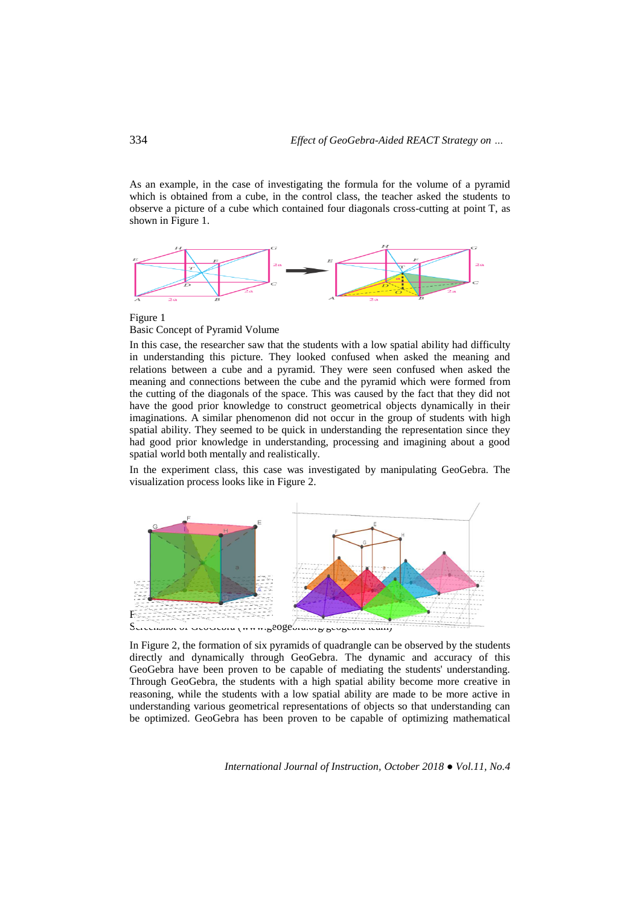As an example, in the case of investigating the formula for the volume of a pyramid which is obtained from a cube, in the control class, the teacher asked the students to observe a picture of a cube which contained four diagonals cross-cutting at point T, as shown in Figure 1.



#### Figure 1

Basic Concept of Pyramid Volume

In this case, the researcher saw that the students with a low spatial ability had difficulty in understanding this picture. They looked confused when asked the meaning and relations between a cube and a pyramid. They were seen confused when asked the meaning and connections between the cube and the pyramid which were formed from the cutting of the diagonals of the space. This was caused by the fact that they did not have the good prior knowledge to construct geometrical objects dynamically in their imaginations. A similar phenomenon did not occur in the group of students with high spatial ability. They seemed to be quick in understanding the representation since they had good prior knowledge in understanding, processing and imagining about a good spatial world both mentally and realistically.

In the experiment class, this case was investigated by manipulating GeoGebra. The visualization process looks like in Figure 2.



In Figure 2, the formation of six pyramids of quadrangle can be observed by the students directly and dynamically through GeoGebra. The dynamic and accuracy of this GeoGebra have been proven to be capable of mediating the students' understanding. Through GeoGebra, the students with a high spatial ability become more creative in reasoning, while the students with a low spatial ability are made to be more active in understanding various geometrical representations of objects so that understanding can be optimized. GeoGebra has been proven to be capable of optimizing mathematical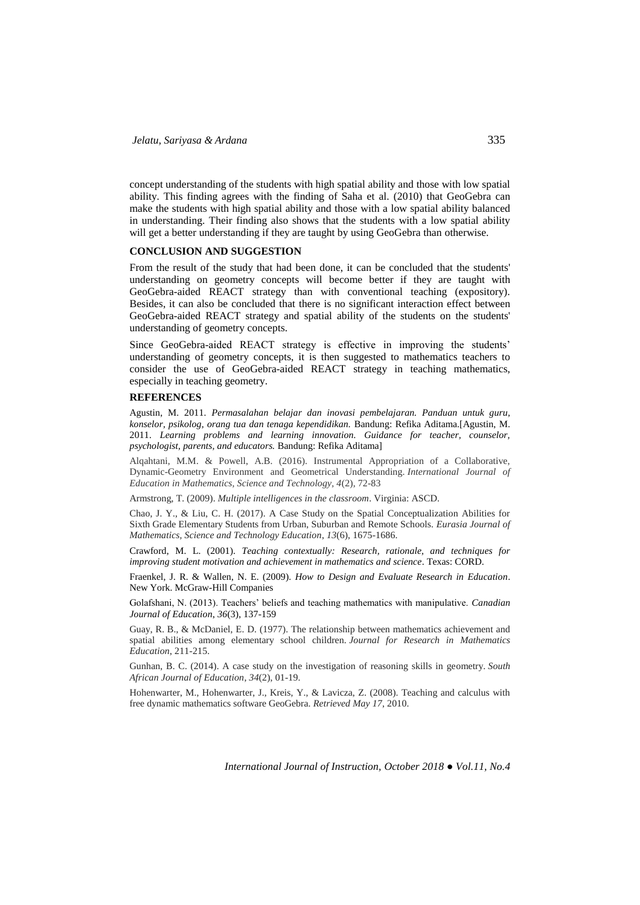concept understanding of the students with high spatial ability and those with low spatial ability. This finding agrees with the finding of Saha et al. (2010) that GeoGebra can make the students with high spatial ability and those with a low spatial ability balanced in understanding. Their finding also shows that the students with a low spatial ability will get a better understanding if they are taught by using GeoGebra than otherwise.

#### **CONCLUSION AND SUGGESTION**

From the result of the study that had been done, it can be concluded that the students' understanding on geometry concepts will become better if they are taught with GeoGebra-aided REACT strategy than with conventional teaching (expository). Besides, it can also be concluded that there is no significant interaction effect between GeoGebra-aided REACT strategy and spatial ability of the students on the students' understanding of geometry concepts.

Since GeoGebra-aided REACT strategy is effective in improving the students' understanding of geometry concepts, it is then suggested to mathematics teachers to consider the use of GeoGebra-aided REACT strategy in teaching mathematics, especially in teaching geometry.

# **REFERENCES**

Agustin, M. 2011. *Permasalahan belajar dan inovasi pembelajaran. Panduan untuk guru, konselor, psikolog, orang tua dan tenaga kependidikan.* Bandung: Refika Aditama.[Agustin, M. 2011. *Learning problems and learning innovation. Guidance for teacher, counselor, psychologist, parents, and educators.* Bandung: Refika Aditama]

Alqahtani, M.M. & Powell, A.B. (2016). Instrumental Appropriation of a Collaborative, Dynamic-Geometry Environment and Geometrical Understanding. *International Journal of Education in Mathematics, Science and Technology, 4*(2), 72-83

Armstrong, T. (2009). *Multiple intelligences in the classroom*. Virginia: ASCD.

Chao, J. Y., & Liu, C. H. (2017). A Case Study on the Spatial Conceptualization Abilities for Sixth Grade Elementary Students from Urban, Suburban and Remote Schools. *Eurasia Journal of Mathematics, Science and Technology Education*, *13*(6), 1675-1686.

Crawford, M. L. (2001). *Teaching contextually: Research, rationale, and techniques for improving student motivation and achievement in mathematics and science*. Texas: CORD.

Fraenkel, J. R. & Wallen, N. E. (2009). *How to Design and Evaluate Research in Education*. New York. McGraw-Hill Companies

Golafshani, N. (2013). Teachers' beliefs and teaching mathematics with manipulative. *Canadian Journal of Education*, *36*(3), 137-159

Guay, R. B., & McDaniel, E. D. (1977). The relationship between mathematics achievement and spatial abilities among elementary school children. *Journal for Research in Mathematics Education*, 211-215.

Gunhan, B. C. (2014). A case study on the investigation of reasoning skills in geometry. *South African Journal of Education*, *34*(2), 01-19.

Hohenwarter, M., Hohenwarter, J., Kreis, Y., & Lavicza, Z. (2008). Teaching and calculus with free dynamic mathematics software GeoGebra. *Retrieved May 17*, 2010.